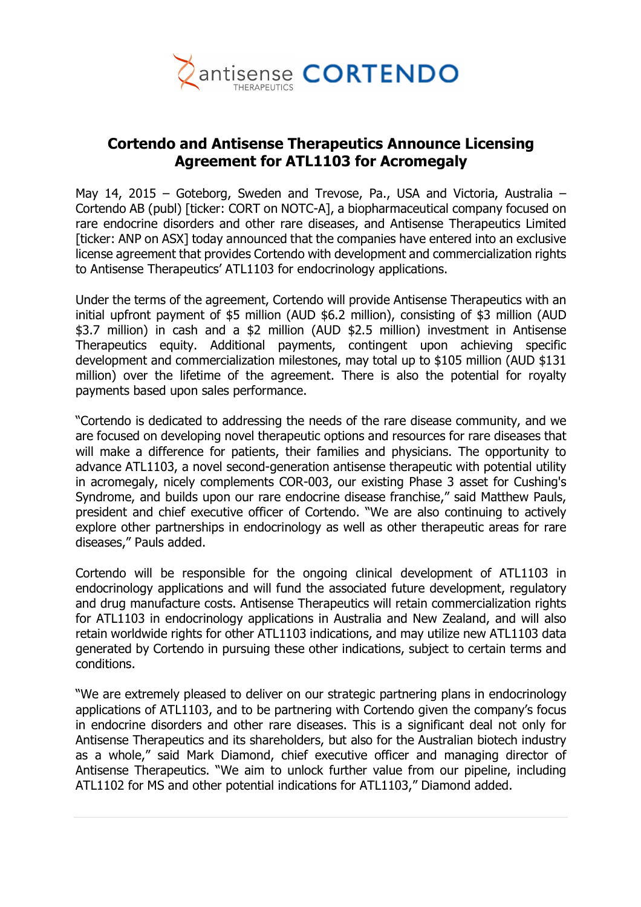

# **Cortendo and Antisense Therapeutics Announce Licensing Agreement for ATL1103 for Acromegaly**

May 14, 2015 – Goteborg, Sweden and Trevose, Pa., USA and Victoria, Australia – Cortendo AB (publ) [ticker: CORT on NOTC-A], a biopharmaceutical company focused on rare endocrine disorders and other rare diseases, and Antisense Therapeutics Limited [ticker: ANP on ASX] today announced that the companies have entered into an exclusive license agreement that provides Cortendo with development and commercialization rights to Antisense Therapeutics' ATL1103 for endocrinology applications.

Under the terms of the agreement, Cortendo will provide Antisense Therapeutics with an initial upfront payment of \$5 million (AUD \$6.2 million), consisting of \$3 million (AUD \$3.7 million) in cash and a \$2 million (AUD \$2.5 million) investment in Antisense Therapeutics equity. Additional payments, contingent upon achieving specific development and commercialization milestones, may total up to \$105 million (AUD \$131 million) over the lifetime of the agreement. There is also the potential for royalty payments based upon sales performance.

"Cortendo is dedicated to addressing the needs of the rare disease community, and we are focused on developing novel therapeutic options and resources for rare diseases that will make a difference for patients, their families and physicians. The opportunity to advance ATL1103, a novel second-generation antisense therapeutic with potential utility in acromegaly, nicely complements COR-003, our existing Phase 3 asset for Cushing's Syndrome, and builds upon our rare endocrine disease franchise," said Matthew Pauls, president and chief executive officer of Cortendo. "We are also continuing to actively explore other partnerships in endocrinology as well as other therapeutic areas for rare diseases," Pauls added.

Cortendo will be responsible for the ongoing clinical development of ATL1103 in endocrinology applications and will fund the associated future development, regulatory and drug manufacture costs. Antisense Therapeutics will retain commercialization rights for ATL1103 in endocrinology applications in Australia and New Zealand, and will also retain worldwide rights for other ATL1103 indications, and may utilize new ATL1103 data generated by Cortendo in pursuing these other indications, subject to certain terms and conditions.

"We are extremely pleased to deliver on our strategic partnering plans in endocrinology applications of ATL1103, and to be partnering with Cortendo given the company's focus in endocrine disorders and other rare diseases. This is a significant deal not only for Antisense Therapeutics and its shareholders, but also for the Australian biotech industry as a whole," said Mark Diamond, chief executive officer and managing director of Antisense Therapeutics. "We aim to unlock further value from our pipeline, including ATL1102 for MS and other potential indications for ATL1103," Diamond added.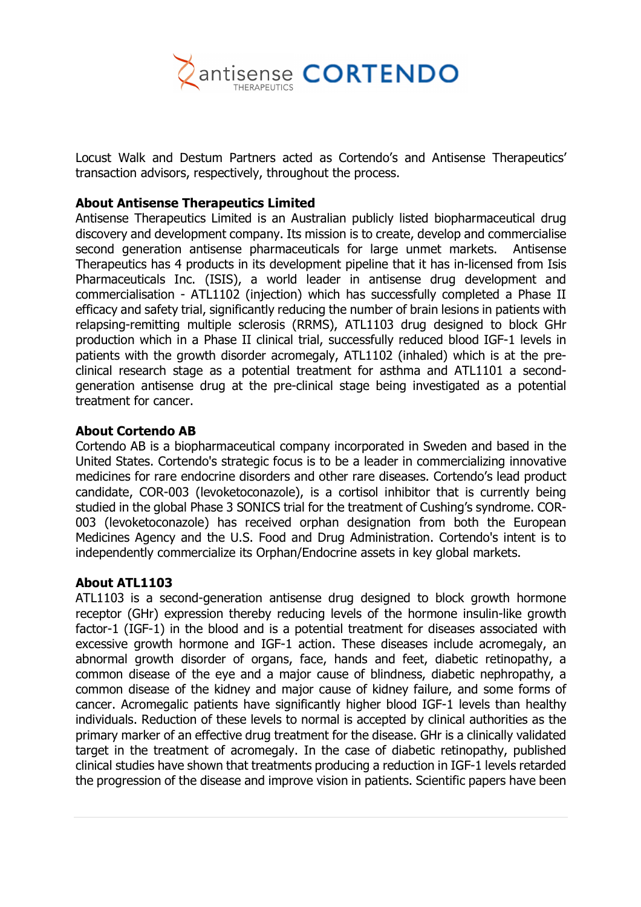

Locust Walk and Destum Partners acted as Cortendo's and Antisense Therapeutics' transaction advisors, respectively, throughout the process.

#### **About Antisense Therapeutics Limited**

Antisense Therapeutics Limited is an Australian publicly listed biopharmaceutical drug discovery and development company. Its mission is to create, develop and commercialise second generation antisense pharmaceuticals for large unmet markets. Antisense Therapeutics has 4 products in its development pipeline that it has in-licensed from Isis Pharmaceuticals Inc. (ISIS), a world leader in antisense drug development and commercialisation - ATL1102 (injection) which has successfully completed a Phase II efficacy and safety trial, significantly reducing the number of brain lesions in patients with relapsing-remitting multiple sclerosis (RRMS), ATL1103 drug designed to block GHr production which in a Phase II clinical trial, successfully reduced blood IGF-1 levels in patients with the growth disorder acromegaly, ATL1102 (inhaled) which is at the preclinical research stage as a potential treatment for asthma and ATL1101 a secondgeneration antisense drug at the pre-clinical stage being investigated as a potential treatment for cancer.

# **About Cortendo AB**

Cortendo AB is a biopharmaceutical company incorporated in Sweden and based in the United States. Cortendo's strategic focus is to be a leader in commercializing innovative medicines for rare endocrine disorders and other rare diseases. Cortendo's lead product candidate, COR-003 (levoketoconazole), is a cortisol inhibitor that is currently being studied in the global Phase 3 SONICS trial for the treatment of Cushing's syndrome. COR-003 (levoketoconazole) has received orphan designation from both the European Medicines Agency and the U.S. Food and Drug Administration. Cortendo's intent is to independently commercialize its Orphan/Endocrine assets in key global markets.

#### **About ATL1103**

ATL1103 is a second-generation antisense drug designed to block growth hormone receptor (GHr) expression thereby reducing levels of the hormone insulin-like growth factor-1 (IGF-1) in the blood and is a potential treatment for diseases associated with excessive growth hormone and IGF-1 action. These diseases include acromegaly, an abnormal growth disorder of organs, face, hands and feet, diabetic retinopathy, a common disease of the eye and a major cause of blindness, diabetic nephropathy, a common disease of the kidney and major cause of kidney failure, and some forms of cancer. Acromegalic patients have significantly higher blood IGF-1 levels than healthy individuals. Reduction of these levels to normal is accepted by clinical authorities as the primary marker of an effective drug treatment for the disease. GHr is a clinically validated target in the treatment of acromegaly. In the case of diabetic retinopathy, published clinical studies have shown that treatments producing a reduction in IGF-1 levels retarded the progression of the disease and improve vision in patients. Scientific papers have been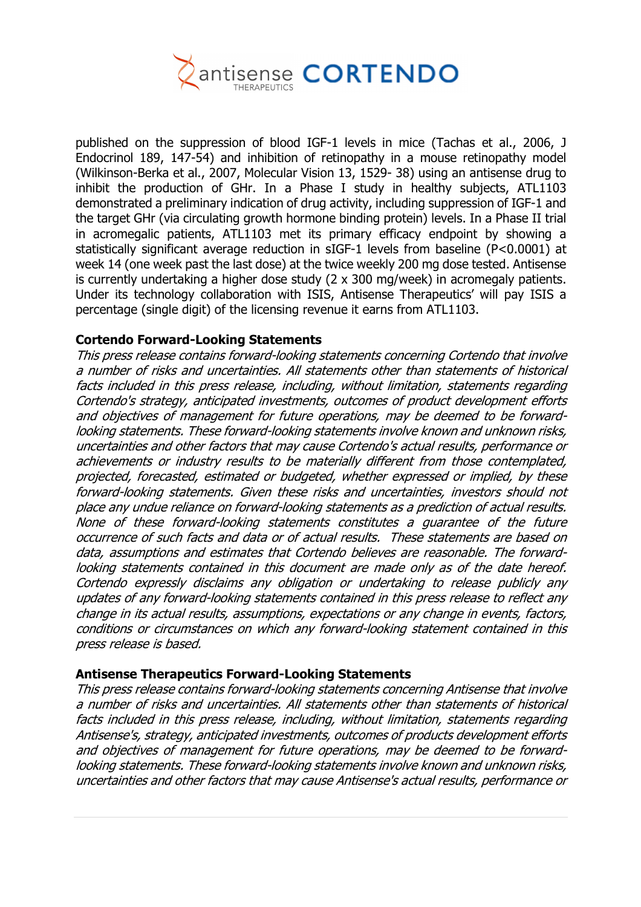

published on the suppression of blood IGF-1 levels in mice (Tachas et al., 2006, J Endocrinol 189, 147-54) and inhibition of retinopathy in a mouse retinopathy model (Wilkinson-Berka et al., 2007, Molecular Vision 13, 1529- 38) using an antisense drug to inhibit the production of GHr. In a Phase I study in healthy subjects, ATL1103 demonstrated a preliminary indication of drug activity, including suppression of IGF-1 and the target GHr (via circulating growth hormone binding protein) levels. In a Phase II trial in acromegalic patients, ATL1103 met its primary efficacy endpoint by showing a statistically significant average reduction in sIGF-1 levels from baseline (P<0.0001) at week 14 (one week past the last dose) at the twice weekly 200 mg dose tested. Antisense is currently undertaking a higher dose study (2 x 300 mg/week) in acromegaly patients. Under its technology collaboration with ISIS, Antisense Therapeutics' will pay ISIS a percentage (single digit) of the licensing revenue it earns from ATL1103.

#### **Cortendo Forward-Looking Statements**

This press release contains forward-looking statements concerning Cortendo that involve a number of risks and uncertainties. All statements other than statements of historical facts included in this press release, including, without limitation, statements regarding Cortendo's strategy, anticipated investments, outcomes of product development efforts and objectives of management for future operations, may be deemed to be forwardlooking statements. These forward-looking statements involve known and unknown risks, uncertainties and other factors that may cause Cortendo's actual results, performance or achievements or industry results to be materially different from those contemplated, projected, forecasted, estimated or budgeted, whether expressed or implied, by these forward-looking statements. Given these risks and uncertainties, investors should not place any undue reliance on forward-looking statements as a prediction of actual results. None of these forward-looking statements constitutes a guarantee of the future occurrence of such facts and data or of actual results. These statements are based on data, assumptions and estimates that Cortendo believes are reasonable. The forwardlooking statements contained in this document are made only as of the date hereof. Cortendo expressly disclaims any obligation or undertaking to release publicly any updates of any forward-looking statements contained in this press release to reflect any change in its actual results, assumptions, expectations or any change in events, factors, conditions or circumstances on which any forward-looking statement contained in this press release is based.

#### **Antisense Therapeutics Forward-Looking Statements**

This press release contains forward-looking statements concerning Antisense that involve a number of risks and uncertainties. All statements other than statements of historical facts included in this press release, including, without limitation, statements regarding Antisense's, strategy, anticipated investments, outcomes of products development efforts and objectives of management for future operations, may be deemed to be forwardlooking statements. These forward-looking statements involve known and unknown risks, uncertainties and other factors that may cause Antisense's actual results, performance or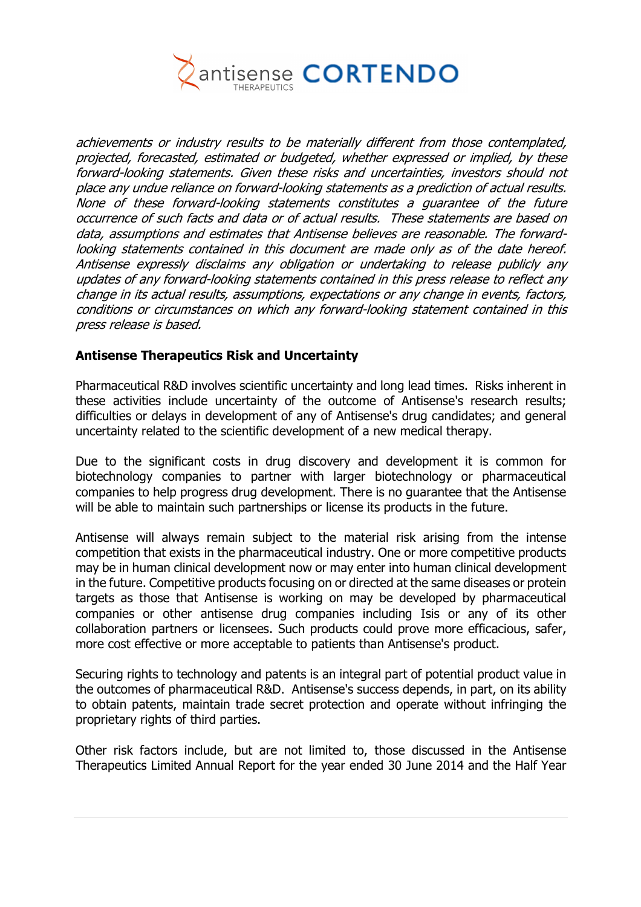

achievements or industry results to be materially different from those contemplated, projected, forecasted, estimated or budgeted, whether expressed or implied, by these forward-looking statements. Given these risks and uncertainties, investors should not place any undue reliance on forward-looking statements as a prediction of actual results. None of these forward-looking statements constitutes a guarantee of the future occurrence of such facts and data or of actual results. These statements are based on data, assumptions and estimates that Antisense believes are reasonable. The forwardlooking statements contained in this document are made only as of the date hereof. Antisense expressly disclaims any obligation or undertaking to release publicly any updates of any forward-looking statements contained in this press release to reflect any change in its actual results, assumptions, expectations or any change in events, factors, conditions or circumstances on which any forward-looking statement contained in this press release is based.

#### **Antisense Therapeutics Risk and Uncertainty**

Pharmaceutical R&D involves scientific uncertainty and long lead times. Risks inherent in these activities include uncertainty of the outcome of Antisense's research results; difficulties or delays in development of any of Antisense's drug candidates; and general uncertainty related to the scientific development of a new medical therapy.

Due to the significant costs in drug discovery and development it is common for biotechnology companies to partner with larger biotechnology or pharmaceutical companies to help progress drug development. There is no guarantee that the Antisense will be able to maintain such partnerships or license its products in the future.

Antisense will always remain subject to the material risk arising from the intense competition that exists in the pharmaceutical industry. One or more competitive products may be in human clinical development now or may enter into human clinical development in the future. Competitive products focusing on or directed at the same diseases or protein targets as those that Antisense is working on may be developed by pharmaceutical companies or other antisense drug companies including Isis or any of its other collaboration partners or licensees. Such products could prove more efficacious, safer, more cost effective or more acceptable to patients than Antisense's product.

Securing rights to technology and patents is an integral part of potential product value in the outcomes of pharmaceutical R&D. Antisense's success depends, in part, on its ability to obtain patents, maintain trade secret protection and operate without infringing the proprietary rights of third parties.

Other risk factors include, but are not limited to, those discussed in the Antisense Therapeutics Limited Annual Report for the year ended 30 June 2014 and the Half Year